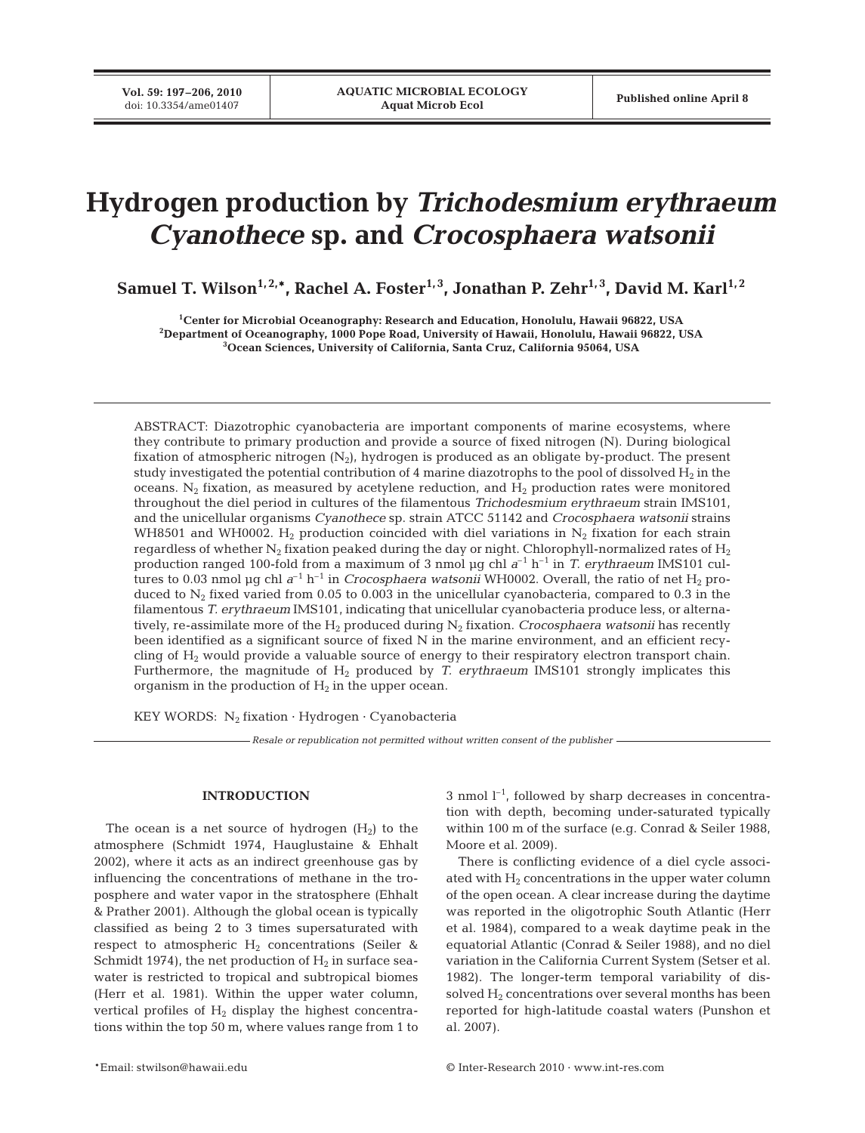# **Hydrogen production by** *Trichodesmium erythraeum Cyanothece* **sp. and** *Crocosphaera watsonii*

**Samuel T. Wilson**<sup>1, 2,\*</sup>, Rachel A. Foster<sup>1, 3</sup>, Jonathan P. Zehr<sup>1, 3</sup>, David M. Karl<sup>1, 2</sup>

**1 Center for Microbial Oceanography: Research and Education, Honolulu, Hawaii 96822, USA 2 Department of Oceanography, 1000 Pope Road, University of Hawaii, Honolulu, Hawaii 96822, USA 3 Ocean Sciences, University of California, Santa Cruz, California 95064, USA**

ABSTRACT: Diazotrophic cyanobacteria are important components of marine ecosystems, where they contribute to primary production and provide a source of fixed nitrogen (N). During biological fixation of atmospheric nitrogen (N2), hydrogen is produced as an obligate by-product. The present study investigated the potential contribution of 4 marine diazotrophs to the pool of dissolved  $H_2$  in the oceans. N<sub>2</sub> fixation, as measured by acetylene reduction, and  $H_2$  production rates were monitored throughout the diel period in cultures of the filamentous *Trichodesmium erythraeum* strain IMS101, and the unicellular organisms *Cyanothece* sp. strain ATCC 51142 and *Crocosphaera watsonii* strains WH8501 and WH0002. H<sub>2</sub> production coincided with diel variations in N<sub>2</sub> fixation for each strain regardless of whether  $N_2$  fixation peaked during the day or night. Chlorophyll-normalized rates of  $H_2$ production ranged 100-fold from a maximum of 3 nmol µg chl *a*–1 h–1 in *T. erythraeum* IMS101 cultures to 0.03 nmol µg chl  $a^{-1}$  h<sup>-1</sup> in *Crocosphaera watsonii* WH0002. Overall, the ratio of net H<sub>2</sub> produced to  $N<sub>2</sub>$  fixed varied from 0.05 to 0.003 in the unicellular cyanobacteria, compared to 0.3 in the filamentous *T. erythraeum* IMS101, indicating that unicellular cyanobacteria produce less, or alternatively, re-assimilate more of the  $H_2$  produced during  $N_2$  fixation. *Crocosphaera watsonii* has recently been identified as a significant source of fixed N in the marine environment, and an efficient recycling of H2 would provide a valuable source of energy to their respiratory electron transport chain. Furthermore, the magnitude of H<sub>2</sub> produced by *T. erythraeum* IMS101 strongly implicates this organism in the production of  $H_2$  in the upper ocean.

KEY WORDS:  $N_2$  fixation  $\cdot$  Hydrogen  $\cdot$  Cyanobacteria

*Resale or republication not permitted without written consent of the publisher*

# **INTRODUCTION**

The ocean is a net source of hydrogen  $(H<sub>2</sub>)$  to the atmosphere (Schmidt 1974, Hauglustaine & Ehhalt 2002), where it acts as an indirect greenhouse gas by influencing the concentrations of methane in the troposphere and water vapor in the stratosphere (Ehhalt & Prather 2001). Although the global ocean is typically classified as being 2 to 3 times supersaturated with respect to atmospheric  $H_2$  concentrations (Seiler & Schmidt 1974), the net production of  $H_2$  in surface seawater is restricted to tropical and subtropical biomes (Herr et al. 1981). Within the upper water column, vertical profiles of  $H_2$  display the highest concentrations within the top 50 m, where values range from 1 to

 $3$  nmol  $1^{-1}$ , followed by sharp decreases in concentration with depth, becoming under-saturated typically within 100 m of the surface (e.g. Conrad & Seiler 1988, Moore et al. 2009).

There is conflicting evidence of a diel cycle associated with  $H_2$  concentrations in the upper water column of the open ocean. A clear increase during the daytime was reported in the oligotrophic South Atlantic (Herr et al. 1984), compared to a weak daytime peak in the equatorial Atlantic (Conrad & Seiler 1988), and no diel variation in the California Current System (Setser et al. 1982). The longer-term temporal variability of dissolved  $H_2$  concentrations over several months has been reported for high-latitude coastal waters (Punshon et al. 2007).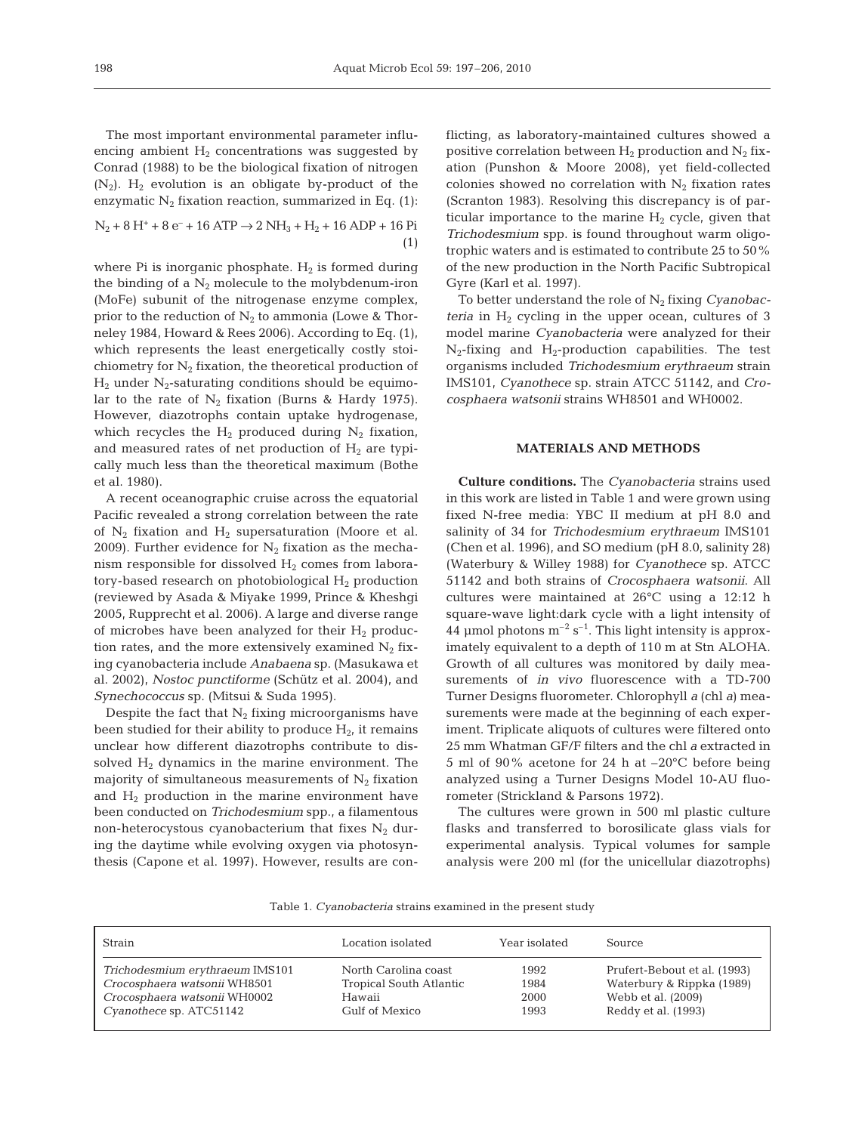The most important environmental parameter influencing ambient  $H_2$  concentrations was suggested by Conrad (1988) to be the biological fixation of nitrogen  $(N_2)$ . H<sub>2</sub> evolution is an obligate by-product of the enzymatic  $N_2$  fixation reaction, summarized in Eq. (1):

$$
N_2 + 8 H^+ + 8 e^- + 16 ATP \rightarrow 2 NH_3 + H_2 + 16 ADP + 16 Pi
$$
\n(1)

where Pi is inorganic phosphate.  $H_2$  is formed during the binding of a  $N_2$  molecule to the molybdenum-iron (MoFe) subunit of the nitrogenase enzyme complex, prior to the reduction of  $N_2$  to ammonia (Lowe & Thorneley 1984, Howard & Rees 2006). According to Eq. (1), which represents the least energetically costly stoichiometry for  $N_2$  fixation, the theoretical production of  $H_2$  under  $N_2$ -saturating conditions should be equimolar to the rate of  $N_2$  fixation (Burns & Hardy 1975). However, diazotrophs contain uptake hydrogenase, which recycles the  $H_2$  produced during  $N_2$  fixation, and measured rates of net production of  $H_2$  are typically much less than the theoretical maximum (Bothe et al. 1980).

A recent oceanographic cruise across the equatorial Pacific revealed a strong correlation between the rate of  $N_2$  fixation and  $H_2$  supersaturation (Moore et al. 2009). Further evidence for  $N_2$  fixation as the mechanism responsible for dissolved  $H_2$  comes from laboratory-based research on photobiological  $H_2$  production (reviewed by Asada & Miyake 1999, Prince & Kheshgi 2005, Rupprecht et al. 2006). A large and diverse range of microbes have been analyzed for their  $H_2$  production rates, and the more extensively examined  $N_2$  fixing cyanobacteria include *Anabaena* sp. (Masukawa et al. 2002), *Nostoc punctiforme* (Schütz et al. 2004), and *Synechococcus* sp. (Mitsui & Suda 1995).

Despite the fact that  $N_2$  fixing microorganisms have been studied for their ability to produce  $H_2$ , it remains unclear how different diazotrophs contribute to dissolved  $H_2$  dynamics in the marine environment. The majority of simultaneous measurements of  $N_2$  fixation and  $H_2$  production in the marine environment have been conducted on *Trichodesmium* spp., a filamentous non-heterocystous cyanobacterium that fixes  $N_2$  during the daytime while evolving oxygen via photosynthesis (Capone et al. 1997). However, results are conflicting, as laboratory-maintained cultures showed a positive correlation between  $H_2$  production and  $N_2$  fixation (Punshon & Moore 2008), yet field-collected colonies showed no correlation with  $N_2$  fixation rates (Scranton 1983). Resolving this discrepancy is of particular importance to the marine  $H_2$  cycle, given that *Trichodesmium* spp. is found throughout warm oligotrophic waters and is estimated to contribute 25 to 50% of the new production in the North Pacific Subtropical Gyre (Karl et al. 1997).

To better understand the role of N2 fixing *Cyanobacteria* in  $H_2$  cycling in the upper ocean, cultures of 3 model marine *Cyanobacteria* were analyzed for their  $N_2$ -fixing and  $H_2$ -production capabilities. The test organisms included *Trichodesmium erythraeum* strain IMS101, *Cyanothece* sp. strain ATCC 51142, and *Crocosphaera watsonii* strains WH8501 and WH0002.

## **MATERIALS AND METHODS**

**Culture conditions.** The *Cyanobacteria* strains used in this work are listed in Table 1 and were grown using fixed N-free media: YBC II medium at pH 8.0 and salinity of 34 for *Trichodesmium erythraeum* IMS101 (Chen et al. 1996), and SO medium (pH 8.0, salinity 28) (Waterbury & Willey 1988) for *Cyanothece* sp. ATCC 51142 and both strains of *Crocosphaera watsonii*. All cultures were maintained at 26°C using a 12:12 h square-wave light:dark cycle with a light intensity of 44 µmol photons  $m^{-2}$  s<sup>-1</sup>. This light intensity is approximately equivalent to a depth of 110 m at Stn ALOHA. Growth of all cultures was monitored by daily measurements of *in vivo* fluorescence with a TD-700 Turner Designs fluorometer. Chlorophyll *a* (chl *a*) measurements were made at the beginning of each experiment. Triplicate aliquots of cultures were filtered onto 25 mm Whatman GF/F filters and the chl *a* extracted in 5 ml of 90% acetone for 24 h at –20°C before being analyzed using a Turner Designs Model 10-AU fluorometer (Strickland & Parsons 1972).

The cultures were grown in 500 ml plastic culture flasks and transferred to borosilicate glass vials for experimental analysis. Typical volumes for sample analysis were 200 ml (for the unicellular diazotrophs)

|  |  |  | Table 1. Cyanobacteria strains examined in the present study |  |  |
|--|--|--|--------------------------------------------------------------|--|--|
|  |  |  |                                                              |  |  |

| Strain                          | Location isolated       | Year isolated | Source                       |
|---------------------------------|-------------------------|---------------|------------------------------|
| Trichodesmium erythraeum IMS101 | North Carolina coast    | 1992          | Prufert-Bebout et al. (1993) |
| Crocosphaera watsonii WH8501    | Tropical South Atlantic | 1984          | Waterbury & Rippka (1989)    |
| Crocosphaera watsonii WH0002    | Hawaii                  | 2000          | Webb et al. (2009)           |
| Cyanothece sp. ATC51142         | Gulf of Mexico          | 1993          | Reddy et al. (1993)          |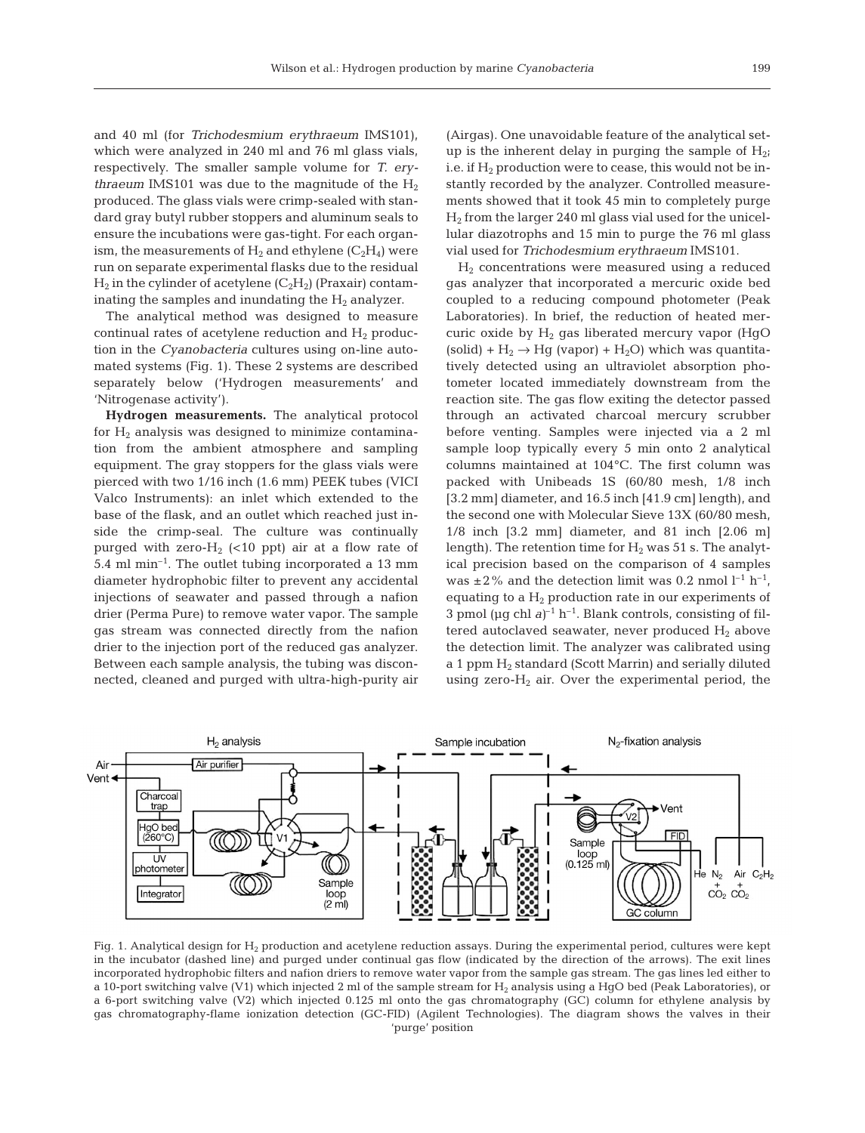and 40 ml (for *Trichodesmium erythraeum* IMS101), which were analyzed in 240 ml and 76 ml glass vials, respectively. The smaller sample volume for *T. erythraeum* IMS101 was due to the magnitude of the  $H_2$ produced. The glass vials were crimp-sealed with standard gray butyl rubber stoppers and aluminum seals to ensure the incubations were gas-tight. For each organism, the measurements of  $H_2$  and ethylene ( $C_2H_4$ ) were run on separate experimental flasks due to the residual  $H_2$  in the cylinder of acetylene  $(C_2H_2)$  (Praxair) contaminating the samples and inundating the  $H_2$  analyzer.

The analytical method was designed to measure continual rates of acetylene reduction and  $H<sub>2</sub>$  production in the *Cyanobacteria* cultures using on-line automated systems (Fig. 1). These 2 systems are described separately below ('Hydrogen measurements' and 'Nitrogenase activity').

**Hydrogen measurements.** The analytical protocol for  $H_2$  analysis was designed to minimize contamination from the ambient atmosphere and sampling equipment. The gray stoppers for the glass vials were pierced with two 1/16 inch (1.6 mm) PEEK tubes (VICI Valco Instruments): an inlet which extended to the base of the flask, and an outlet which reached just inside the crimp-seal. The culture was continually purged with zero- $H_2$  (<10 ppt) air at a flow rate of 5.4 ml min–1. The outlet tubing incorporated a 13 mm diameter hydrophobic filter to prevent any accidental injections of seawater and passed through a nafion drier (Perma Pure) to remove water vapor. The sample gas stream was connected directly from the nafion drier to the injection port of the reduced gas analyzer. Between each sample analysis, the tubing was disconnected, cleaned and purged with ultra-high-purity air (Airgas). One unavoidable feature of the analytical setup is the inherent delay in purging the sample of  $H_{2i}$ i.e. if  $H_2$  production were to cease, this would not be instantly recorded by the analyzer. Controlled measurements showed that it took 45 min to completely purge  $H<sub>2</sub>$  from the larger 240 ml glass vial used for the unicellular diazotrophs and 15 min to purge the 76 ml glass vial used for *Trichodesmium erythraeum* IMS101.

 $H<sub>2</sub>$  concentrations were measured using a reduced gas analyzer that incorporated a mercuric oxide bed coupled to a reducing compound photometer (Peak Laboratories). In brief, the reduction of heated mercuric oxide by  $H<sub>2</sub>$  gas liberated mercury vapor (HgO (solid) +  $H_2 \rightarrow Hg$  (vapor) +  $H_2O$ ) which was quantitatively detected using an ultraviolet absorption photometer located immediately downstream from the reaction site. The gas flow exiting the detector passed through an activated charcoal mercury scrubber before venting. Samples were injected via a 2 ml sample loop typically every 5 min onto 2 analytical columns maintained at 104°C. The first column was packed with Unibeads 1S (60/80 mesh, 1/8 inch [3.2 mm] diameter, and 16.5 inch [41.9 cm] length), and the second one with Molecular Sieve 13X (60/80 mesh, 1/8 inch [3.2 mm] diameter, and 81 inch [2.06 m] length). The retention time for  $H_2$  was 51 s. The analytical precision based on the comparison of 4 samples was  $\pm 2\%$  and the detection limit was 0.2 nmol  $l^{-1}$  h<sup>-1</sup>, equating to a  $H_2$  production rate in our experiments of 3 pmol ( $\mu$ g chl  $a$ )<sup>-1</sup> h<sup>-1</sup>. Blank controls, consisting of filtered autoclaved seawater, never produced  $H_2$  above the detection limit. The analyzer was calibrated using a 1 ppm  $H_2$  standard (Scott Marrin) and serially diluted using zero- $H_2$  air. Over the experimental period, the



Fig. 1. Analytical design for H<sub>2</sub> production and acetylene reduction assays. During the experimental period, cultures were kept in the incubator (dashed line) and purged under continual gas flow (indicated by the direction of the arrows). The exit lines incorporated hydrophobic filters and nafion driers to remove water vapor from the sample gas stream. The gas lines led either to a 10-port switching valve (V1) which injected 2 ml of the sample stream for H<sub>2</sub> analysis using a HgO bed (Peak Laboratories), or a 6-port switching valve (V2) which injected 0.125 ml onto the gas chromatography (GC) column for ethylene analysis by gas chromatography-flame ionization detection (GC-FID) (Agilent Technologies). The diagram shows the valves in their 'purge' position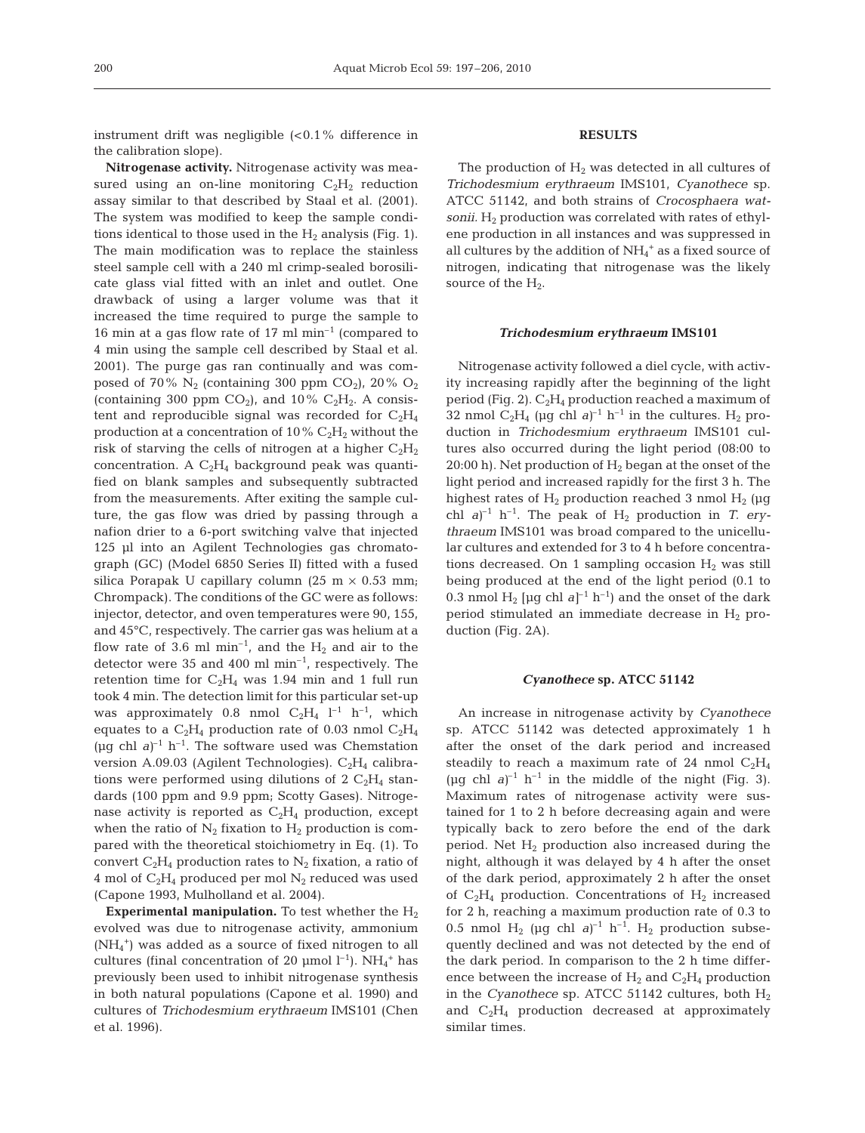instrument drift was negligible  $( $0.1\%$  difference in$ the calibration slope).

**Nitrogenase activity.** Nitrogenase activity was measured using an on-line monitoring  $C_2H_2$  reduction assay similar to that described by Staal et al. (2001). The system was modified to keep the sample conditions identical to those used in the  $H_2$  analysis (Fig. 1). The main modification was to replace the stainless steel sample cell with a 240 ml crimp-sealed borosilicate glass vial fitted with an inlet and outlet. One drawback of using a larger volume was that it increased the time required to purge the sample to 16 min at a gas flow rate of 17 ml  $min^{-1}$  (compared to 4 min using the sample cell described by Staal et al. 2001). The purge gas ran continually and was composed of 70%  $N_2$  (containing 300 ppm CO<sub>2</sub>), 20% O<sub>2</sub> (containing 300 ppm  $CO_2$ ), and 10%  $C_2H_2$ . A consistent and reproducible signal was recorded for  $C_2H_4$ production at a concentration of 10%  $C_2H_2$  without the risk of starving the cells of nitrogen at a higher  $C_2H_2$ concentration. A  $C_2H_4$  background peak was quantified on blank samples and subsequently subtracted from the measurements. After exiting the sample culture, the gas flow was dried by passing through a nafion drier to a 6-port switching valve that injected 125 µl into an Agilent Technologies gas chromatograph (GC) (Model 6850 Series II) fitted with a fused silica Porapak U capillary column (25 m  $\times$  0.53 mm; Chrompack). The conditions of the GC were as follows: injector, detector, and oven temperatures were 90, 155, and 45°C, respectively. The carrier gas was helium at a flow rate of 3.6 ml  $min^{-1}$ , and the  $H_2$  and air to the detector were 35 and 400 ml min–1, respectively. The retention time for  $C_2H_4$  was 1.94 min and 1 full run took 4 min. The detection limit for this particular set-up was approximately 0.8 nmol  $C_2H_4$   $l^{-1}$   $h^{-1}$ , which equates to a  $C_2H_4$  production rate of 0.03 nmol  $C_2H_4$ ( $\mu$ g chl *a*)<sup>-1</sup> h<sup>-1</sup>. The software used was Chemstation version A.09.03 (Agilent Technologies).  $C_2H_4$  calibrations were performed using dilutions of  $2 \text{ C}_2\text{H}_4$  standards (100 ppm and 9.9 ppm; Scotty Gases). Nitrogenase activity is reported as  $C_2H_4$  production, except when the ratio of  $N_2$  fixation to  $H_2$  production is compared with the theoretical stoichiometry in Eq. (1). To convert  $C_2H_4$  production rates to  $N_2$  fixation, a ratio of 4 mol of  $C_2H_4$  produced per mol  $N_2$  reduced was used (Capone 1993, Mulholland et al. 2004).

**Experimental manipulation.** To test whether the  $H_2$ evolved was due to nitrogenase activity, ammonium (NH4 +) was added as a source of fixed nitrogen to all cultures (final concentration of 20  $\mu$ mol l<sup>-1</sup>). NH<sub>4</sub><sup>+</sup> has previously been used to inhibit nitrogenase synthesis in both natural populations (Capone et al. 1990) and cultures of *Trichodesmium erythraeum* IMS101 (Chen et al. 1996).

# **RESULTS**

The production of  $H_2$  was detected in all cultures of *Trichodesmium erythraeum* IMS101, *Cyanothece* sp. ATCC 51142, and both strains of *Crocosphaera watsonii.*  $H_2$  production was correlated with rates of ethylene production in all instances and was suppressed in all cultures by the addition of  $\mathrm{NH}_4{}^+$  as a fixed source of nitrogen, indicating that nitrogenase was the likely source of the  $H_2$ .

#### *Trichodesmium erythraeum* **IMS101**

Nitrogenase activity followed a diel cycle, with activity increasing rapidly after the beginning of the light period (Fig. 2).  $C_2H_4$  production reached a maximum of 32 nmol  $C_2H_4$  (µg chl  $a^{-1}$  h<sup>-1</sup> in the cultures. H<sub>2</sub> production in *Trichodesmium erythraeum* IMS101 cultures also occurred during the light period (08:00 to 20:00 h). Net production of  $H_2$  began at the onset of the light period and increased rapidly for the first 3 h. The highest rates of  $H_2$  production reached 3 nmol  $H_2$  (µg chl  $a$ <sup>-1</sup> h<sup>-1</sup>. The peak of H<sub>2</sub> production in *T. erythraeum* IMS101 was broad compared to the unicellular cultures and extended for 3 to 4 h before concentrations decreased. On 1 sampling occasion  $H_2$  was still being produced at the end of the light period (0.1 to 0.3 nmol  $H_2$  [µg chl  $a^{-1}$  h<sup>-1</sup>) and the onset of the dark period stimulated an immediate decrease in  $H_2$  production (Fig. 2A).

## *Cyanothece* **sp. ATCC 51142**

An increase in nitrogenase activity by *Cyanothece* sp. ATCC 51142 was detected approximately 1 h after the onset of the dark period and increased steadily to reach a maximum rate of 24 nmol  $C_2H_4$ (µg chl  $a$ )<sup>-1</sup> h<sup>-1</sup> in the middle of the night (Fig. 3). Maximum rates of nitrogenase activity were sustained for 1 to 2 h before decreasing again and were typically back to zero before the end of the dark period. Net  $H_2$  production also increased during the night, although it was delayed by 4 h after the onset of the dark period, approximately 2 h after the onset of  $C_2H_4$  production. Concentrations of  $H_2$  increased for 2 h, reaching a maximum production rate of 0.3 to 0.5 nmol  $H_2$  (µg chl  $a)^{-1}$  h<sup>-1</sup>.  $H_2$  production subsequently declined and was not detected by the end of the dark period. In comparison to the 2 h time difference between the increase of  $H_2$  and  $C_2H_4$  production in the *Cyanothece* sp. ATCC 51142 cultures, both  $H_2$ and  $C_2H_4$  production decreased at approximately similar times.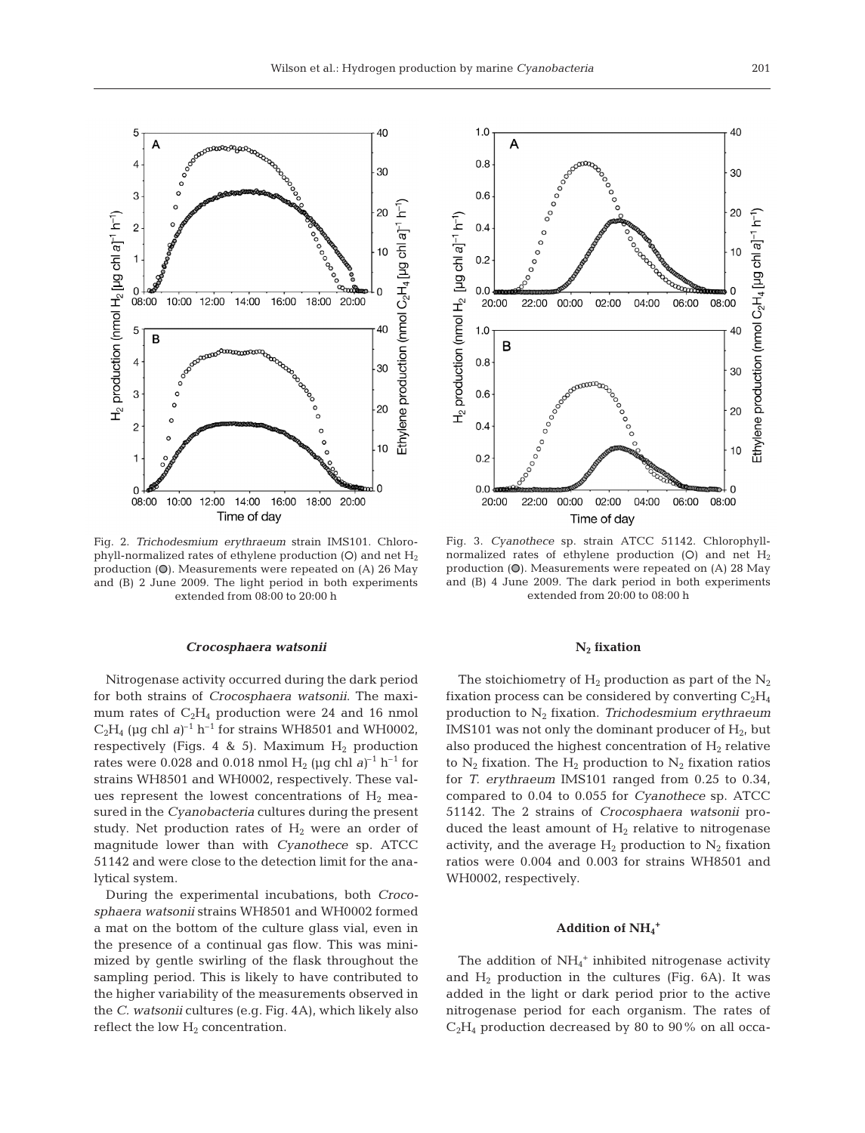

Fig. 2. *Trichodesmium erythraeum* strain IMS101. Chlorophyll-normalized rates of ethylene production (O) and net  $H_2$ production  $\omega$ ). Measurements were repeated on (A) 26 May and (B) 2 June 2009. The light period in both experiments extended from 08:00 to 20:00 h

#### *Crocosphaera watsonii*

Nitrogenase activity occurred during the dark period for both strains of *Crocosphaera watsonii*. The maximum rates of  $C_2H_4$  production were 24 and 16 nmol  $C_2H_4$  (µg chl *a*)<sup>-1</sup> h<sup>-1</sup> for strains WH8501 and WH0002, respectively (Figs. 4 & 5). Maximum  $H_2$  production rates were 0.028 and 0.018 nmol  $H_2$  (µg chl *a*)<sup>-1</sup> h<sup>-1</sup> for strains WH8501 and WH0002, respectively. These values represent the lowest concentrations of  $H_2$  measured in the *Cyanobacteria* cultures during the present study. Net production rates of  $H_2$  were an order of magnitude lower than with *Cyanothece* sp. ATCC 51142 and were close to the detection limit for the analytical system.

During the experimental incubations, both *Crocosphaera watsonii* strains WH8501 and WH0002 formed a mat on the bottom of the culture glass vial, even in the presence of a continual gas flow. This was minimized by gentle swirling of the flask throughout the sampling period. This is likely to have contributed to the higher variability of the measurements observed in the *C. watsonii* cultures (e.g. Fig. 4A), which likely also reflect the low  $H_2$  concentration.



Fig. 3. *Cyanothece* sp. strain ATCC 51142. Chlorophyllnormalized rates of ethylene production (O) and net  $H_2$ production  $(O)$ . Measurements were repeated on  $(A)$  28 May and (B) 4 June 2009. The dark period in both experiments extended from 20:00 to 08:00 h

## **N2 fixation**

The stoichiometry of  $H_2$  production as part of the  $N_2$ fixation process can be considered by converting  $C_2H_4$ production to N2 fixation. *Trichodesmium erythraeum* IMS101 was not only the dominant producer of  $H<sub>2</sub>$ , but also produced the highest concentration of  $H_2$  relative to  $N_2$  fixation. The  $H_2$  production to  $N_2$  fixation ratios for *T. erythraeum* IMS101 ranged from 0.25 to 0.34, compared to 0.04 to 0.055 for *Cyanothece* sp. ATCC 51142. The 2 strains of *Crocosphaera watsonii* produced the least amount of  $H_2$  relative to nitrogenase activity, and the average  $H_2$  production to  $N_2$  fixation ratios were 0.004 and 0.003 for strains WH8501 and WH0002, respectively.

# **Addition of NH4 +**

The addition of  $NH_4$ <sup>+</sup> inhibited nitrogenase activity and  $H_2$  production in the cultures (Fig. 6A). It was added in the light or dark period prior to the active nitrogenase period for each organism. The rates of  $C_2H_4$  production decreased by 80 to 90% on all occa-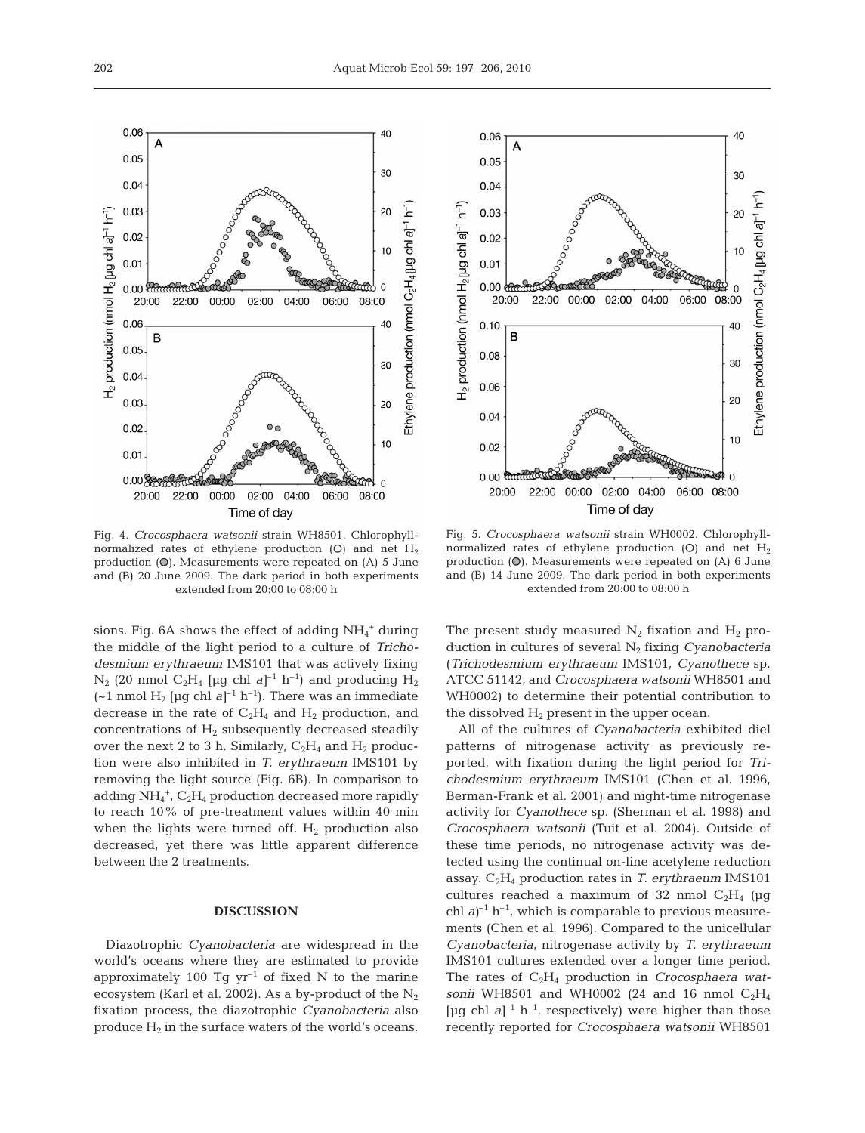

Fig. 4. *Crocosphaera watsonii* strain WH8501. Chlorophyllnormalized rates of ethylene production  $(O)$  and net  $H_2$ production  $(\mathbb{O})$ . Measurements were repeated on  $(A)$  5 June and (B) 20 June 2009. The dark period in both experiments extended from 20:00 to 08:00 h

sions. Fig. 6A shows the effect of adding  $NH_4^+$  during the middle of the light period to a culture of *Trichodesmium erythraeum* IMS101 that was actively fixing  $N_2$  (20 nmol C<sub>2</sub>H<sub>4</sub> [µg chl *a*]<sup>-1</sup> h<sup>-1</sup>) and producing H<sub>2</sub>  $(-1 \text{ nmol H}_2 \text{ [µq chl } a]^{-1} h^{-1})$ . There was an immediate decrease in the rate of  $C_2H_4$  and  $H_2$  production, and concentrations of  $H_2$  subsequently decreased steadily over the next 2 to 3 h. Similarly,  $C_2H_4$  and  $H_2$  production were also inhibited in *T. erythraeum* IMS101 by removing the light source (Fig. 6B). In comparison to adding NH<sub>4</sub><sup>+</sup>, C<sub>2</sub>H<sub>4</sub> production decreased more rapidly to reach 10% of pre-treatment values within 40 min when the lights were turned off.  $H_2$  production also decreased, yet there was little apparent difference between the 2 treatments.

# **DISCUSSION**

Diazotrophic *Cyanobacteria* are widespread in the world's oceans where they are estimated to provide approximately 100 Tg  $yr^{-1}$  of fixed N to the marine ecosystem (Karl et al. 2002). As a by-product of the  $N_2$ fixation process, the diazotrophic *Cyanobacteria* also produce  $H_2$  in the surface waters of the world's oceans.



Fig. 5. *Crocosphaera watsonii* strain WH0002. Chlorophyllnormalized rates of ethylene production (O) and net  $H_2$ production  $(O)$ . Measurements were repeated on  $(A)$  6 June and (B) 14 June 2009. The dark period in both experiments extended from 20:00 to 08:00 h

The present study measured  $N_2$  fixation and  $H_2$  production in cultures of several N2 fixing *Cyanobacteria* (*Trichodesmium erythraeum* IMS101, *Cyanothece* sp. ATCC 51142, and *Crocosphaera watsonii* WH8501 and WH0002) to determine their potential contribution to the dissolved  $H_2$  present in the upper ocean.

All of the cultures of *Cyanobacteria* exhibited diel patterns of nitrogenase activity as previously reported, with fixation during the light period for *Trichodesmium erythraeum* IMS101 (Chen et al. 1996, Berman-Frank et al. 2001) and night-time nitrogenase activity for *Cyanothece* sp. (Sherman et al. 1998) and *Crocosphaera watsonii* (Tuit et al. 2004). Outside of these time periods, no nitrogenase activity was detected using the continual on-line acetylene reduction assay. C2H4 production rates in *T. erythraeum* IMS101 cultures reached a maximum of 32 nmol  $C_2H_4$  (µg chl  $a$ <sup>-1</sup> h<sup>-1</sup>, which is comparable to previous measurements (Chen et al. 1996). Compared to the unicellular *Cyanobacteria*, nitrogenase activity by *T. erythraeum* IMS101 cultures extended over a longer time period. The rates of C<sub>2</sub>H<sub>4</sub> production in *Crocosphaera watsonii* WH8501 and WH0002 (24 and 16 nmol  $C_2H_4$ [µg chl  $a$ ]<sup>-1</sup> h<sup>-1</sup>, respectively) were higher than those recently reported for *Crocosphaera watsonii* WH8501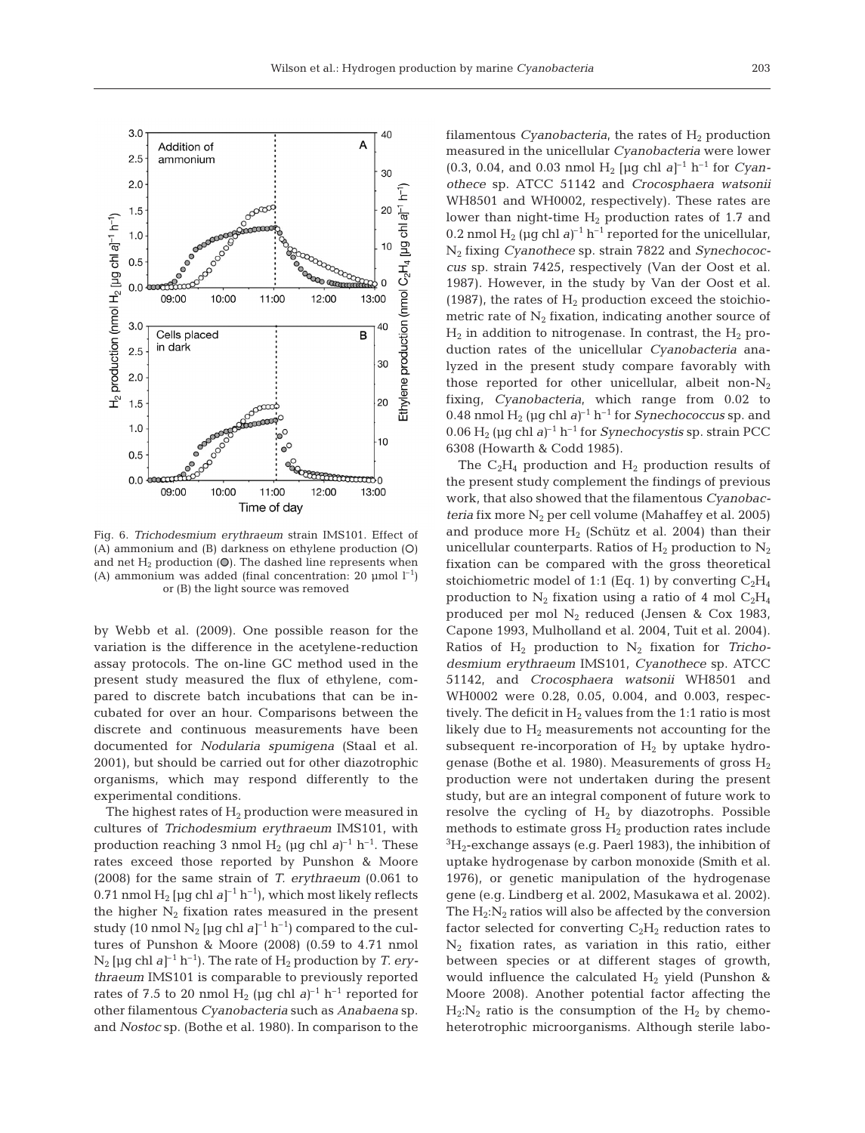

Fig. 6. *Trichodesmium erythraeum* strain IMS101. Effect of  $(A)$  ammonium and  $(B)$  darkness on ethylene production  $(O)$ and net  $H_2$  production (O). The dashed line represents when (A) ammonium was added (final concentration: 20  $\mu$ mol l<sup>-1</sup>) or (B) the light source was removed

by Webb et al. (2009). One possible reason for the variation is the difference in the acetylene-reduction assay protocols. The on-line GC method used in the present study measured the flux of ethylene, compared to discrete batch incubations that can be incubated for over an hour. Comparisons between the discrete and continuous measurements have been documented for *Nodularia spumigena* (Staal et al. 2001), but should be carried out for other diazotrophic organisms, which may respond differently to the experimental conditions.

The highest rates of  $H_2$  production were measured in cultures of *Trichodesmium erythraeum* IMS101, with production reaching 3 nmol  $H_2$  (µg chl  $a$ )<sup>-1</sup> h<sup>-1</sup>. These rates exceed those reported by Punshon & Moore (2008) for the same strain of *T. erythraeum* (0.061 to 0.71 nmol  $H_2$  [µg chl  $a$ ]<sup>-1</sup> h<sup>-1</sup>), which most likely reflects the higher  $N_2$  fixation rates measured in the present study (10 nmol  $N_2$  [µg chl  $a$ ]<sup>-1</sup> h<sup>-1</sup>) compared to the cultures of Punshon & Moore (2008) (0.59 to 4.71 nmol  $N_2$  [µg chl  $a^{-1}$  h<sup>-1</sup>). The rate of  $H_2$  production by *T. erythraeum* IMS101 is comparable to previously reported rates of 7.5 to 20 nmol  $H_2$  (µg chl  $a^{-1}$  h<sup>-1</sup> reported for other filamentous *Cyanobacteria* such as *Anabaena* sp. and *Nostoc* sp. (Bothe et al. 1980). In comparison to the filamentous *Cyanobacteria*, the rates of  $H_2$  production measured in the unicellular *Cyanobacteria* were lower  $(0.3, 0.04,$  and 0.03 nmol H<sub>2</sub> [µg chl *a*]<sup>-1</sup> h<sup>-1</sup> for *Cyanothece* sp. ATCC 51142 and *Crocosphaera watsonii* WH8501 and WH0002, respectively). These rates are lower than night-time  $H_2$  production rates of 1.7 and 0.2 nmol  $H_2$  ( $\mu$ g chl *a*)<sup>-1</sup> h<sup>-1</sup> reported for the unicellular, N2 fixing *Cyanothece* sp. strain 7822 and *Synechococcus* sp. strain 7425, respectively (Van der Oost et al. 1987). However, in the study by Van der Oost et al. (1987), the rates of  $H_2$  production exceed the stoichiometric rate of  $N_2$  fixation, indicating another source of  $H_2$  in addition to nitrogenase. In contrast, the  $H_2$  production rates of the unicellular *Cyanobacteria* analyzed in the present study compare favorably with those reported for other unicellular, albeit non- $N_2$ fixing, *Cyanobacteria*, which range from 0.02 to 0.48 nmol  $H_2$  (µg chl  $a)^{-1}$  h<sup>-1</sup> for *Synechococcus* sp. and 0.06  $H_2$  (µg chl *a*)<sup>-1</sup> h<sup>-1</sup> for *Synechocystis* sp. strain PCC 6308 (Howarth & Codd 1985).

The  $C_2H_4$  production and  $H_2$  production results of the present study complement the findings of previous work, that also showed that the filamentous *Cyanobacteria* fix more  $N_2$  per cell volume (Mahaffey et al. 2005) and produce more  $H_2$  (Schütz et al. 2004) than their unicellular counterparts. Ratios of  $H_2$  production to  $N_2$ fixation can be compared with the gross theoretical stoichiometric model of 1:1 (Eq. 1) by converting  $C_2H_4$ production to  $N_2$  fixation using a ratio of 4 mol  $C_2H_4$ produced per mol  $N_2$  reduced (Jensen & Cox 1983, Capone 1993, Mulholland et al. 2004, Tuit et al. 2004). Ratios of  $H_2$  production to  $N_2$  fixation for *Trichodesmium erythraeum* IMS101, *Cyanothece* sp. ATCC 51142, and *Crocosphaera watsonii* WH8501 and WH0002 were 0.28, 0.05, 0.004, and 0.003, respectively. The deficit in  $H_2$  values from the 1:1 ratio is most likely due to  $H_2$  measurements not accounting for the subsequent re-incorporation of  $H_2$  by uptake hydrogenase (Bothe et al. 1980). Measurements of gross  $H_2$ production were not undertaken during the present study, but are an integral component of future work to resolve the cycling of  $H_2$  by diazotrophs. Possible methods to estimate gross  $H_2$  production rates include  ${}^{3}\mathrm{H}_{2}$ -exchange assays (e.g. Paerl 1983), the inhibition of uptake hydrogenase by carbon monoxide (Smith et al. 1976), or genetic manipulation of the hydrogenase gene (e.g. Lindberg et al. 2002, Masukawa et al. 2002). The  $H_2:N_2$  ratios will also be affected by the conversion factor selected for converting  $C_2H_2$  reduction rates to  $N_2$  fixation rates, as variation in this ratio, either between species or at different stages of growth, would influence the calculated  $H_2$  yield (Punshon & Moore 2008). Another potential factor affecting the  $H_2:N_2$  ratio is the consumption of the  $H_2$  by chemoheterotrophic microorganisms. Although sterile labo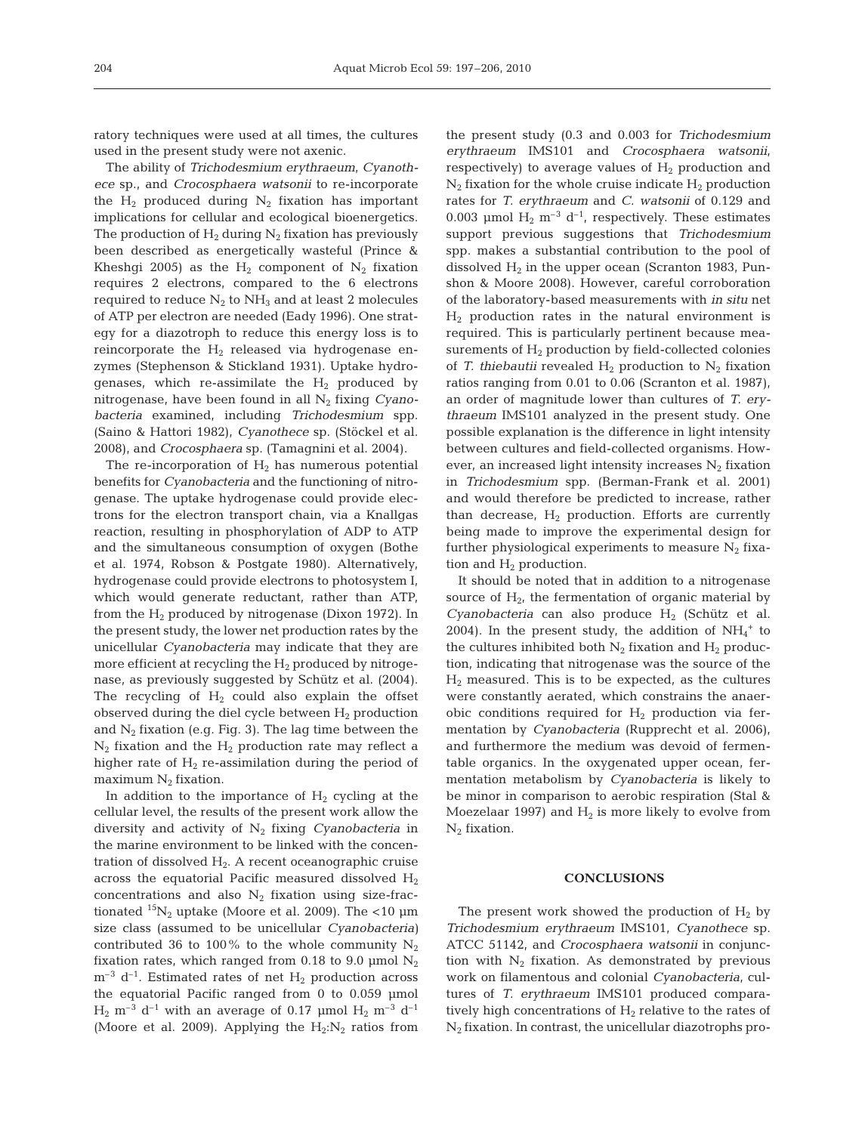ratory techniques were used at all times, the cultures used in the present study were not axenic.

The ability of *Trichodesmium erythraeum*, *Cyanothece* sp., and *Crocosphaera watsonii* to re-incorporate the  $H_2$  produced during  $N_2$  fixation has important implications for cellular and ecological bioenergetics. The production of  $H_2$  during  $N_2$  fixation has previously been described as energetically wasteful (Prince & Kheshqi 2005) as the  $H_2$  component of  $N_2$  fixation requires 2 electrons, compared to the 6 electrons required to reduce  $N_2$  to  $NH_3$  and at least 2 molecules of ATP per electron are needed (Eady 1996). One strategy for a diazotroph to reduce this energy loss is to reincorporate the  $H_2$  released via hydrogenase enzymes (Stephenson & Stickland 1931). Uptake hydrogenases, which re-assimilate the  $H_2$  produced by nitrogenase, have been found in all N2 fixing *Cyanobacteria* examined, including *Trichodesmium* spp. (Saino & Hattori 1982), *Cyanothece* sp. (Stöckel et al. 2008), and *Crocosphaera* sp. (Tamagnini et al. 2004).

The re-incorporation of  $H_2$  has numerous potential benefits for *Cyanobacteria* and the functioning of nitrogenase. The uptake hydrogenase could provide electrons for the electron transport chain, via a Knallgas reaction, resulting in phosphorylation of ADP to ATP and the simultaneous consumption of oxygen (Bothe et al. 1974, Robson & Postgate 1980). Alternatively, hydrogenase could provide electrons to photosystem I, which would generate reductant, rather than ATP, from the  $H_2$  produced by nitrogenase (Dixon 1972). In the present study, the lower net production rates by the unicellular *Cyanobacteria* may indicate that they are more efficient at recycling the  $H_2$  produced by nitrogenase, as previously suggested by Schütz et al. (2004). The recycling of  $H_2$  could also explain the offset observed during the diel cycle between  $H_2$  production and  $N_2$  fixation (e.g. Fig. 3). The lag time between the  $N_2$  fixation and the  $H_2$  production rate may reflect a higher rate of  $H_2$  re-assimilation during the period of maximum  $N_2$  fixation.

In addition to the importance of  $H_2$  cycling at the cellular level, the results of the present work allow the diversity and activity of N2 fixing *Cyanobacteria* in the marine environment to be linked with the concentration of dissolved  $H_2$ . A recent oceanographic cruise across the equatorial Pacific measured dissolved  $H_2$ concentrations and also  $N_2$  fixation using size-fractionated  ${}^{15}N_2$  uptake (Moore et al. 2009). The <10 µm size class (assumed to be unicellular *Cyanobacteria)* contributed 36 to 100% to the whole community  $N_2$ fixation rates, which ranged from 0.18 to 9.0 µmol  $N_2$  $m^{-3}$  d<sup>-1</sup>. Estimated rates of net H<sub>2</sub> production across the equatorial Pacific ranged from 0 to 0.059 µmol  $H_2$  m<sup>-3</sup> d<sup>-1</sup> with an average of 0.17 µmol  $H_2$  m<sup>-3</sup> d<sup>-1</sup> (Moore et al. 2009). Applying the  $H_2:N_2$  ratios from the present study (0.3 and 0.003 for *Trichodesmium erythraeum* IMS101 and *Crocosphaera watsonii*, respectively) to average values of  $H_2$  production and  $N_2$  fixation for the whole cruise indicate  $H_2$  production rates for *T. erythraeum* and *C. watsonii* of 0.129 and 0.003 µmol  $H_2$  m<sup>-3</sup> d<sup>-1</sup>, respectively. These estimates support previous suggestions that *Trichodesmium* spp. makes a substantial contribution to the pool of dissolved  $H_2$  in the upper ocean (Scranton 1983, Punshon & Moore 2008). However, careful corroboration of the laboratory-based measurements with *in situ* net  $H<sub>2</sub>$  production rates in the natural environment is required. This is particularly pertinent because measurements of  $H_2$  production by field-collected colonies of *T. thiebautii* revealed  $H_2$  production to  $N_2$  fixation ratios ranging from 0.01 to 0.06 (Scranton et al. 1987), an order of magnitude lower than cultures of *T. erythraeum* IMS101 analyzed in the present study. One possible explanation is the difference in light intensity between cultures and field-collected organisms. However, an increased light intensity increases  $N_2$  fixation in *Trichodesmium* spp. (Berman-Frank et al. 2001) and would therefore be predicted to increase, rather than decrease,  $H_2$  production. Efforts are currently being made to improve the experimental design for further physiological experiments to measure  $N_2$  fixation and  $H_2$  production.

It should be noted that in addition to a nitrogenase source of  $H_{2}$ , the fermentation of organic material by  $Cyanobacteria$  can also produce  $H_2$  (Schütz et al. 2004). In the present study, the addition of  $NH_4^+$  to the cultures inhibited both  $N_2$  fixation and  $H_2$  production, indicating that nitrogenase was the source of the  $H<sub>2</sub>$  measured. This is to be expected, as the cultures were constantly aerated, which constrains the anaerobic conditions required for  $H_2$  production via fermentation by *Cyanobacteria* (Rupprecht et al. 2006), and furthermore the medium was devoid of fermentable organics. In the oxygenated upper ocean, fermentation metabolism by *Cyanobacteria* is likely to be minor in comparison to aerobic respiration (Stal & Moezelaar 1997) and  $H_2$  is more likely to evolve from  $N_2$  fixation.

### **CONCLUSIONS**

The present work showed the production of  $H_2$  by *Trichodesmium erythraeum* IMS101, *Cyanothece* sp. ATCC 51142, and *Crocosphaera watsonii* in conjunction with  $N_2$  fixation. As demonstrated by previous work on filamentous and colonial *Cyanobacteria*, cultures of *T. erythraeum* IMS101 produced comparatively high concentrations of  $H_2$  relative to the rates of  $N_2$  fixation. In contrast, the unicellular diazotrophs pro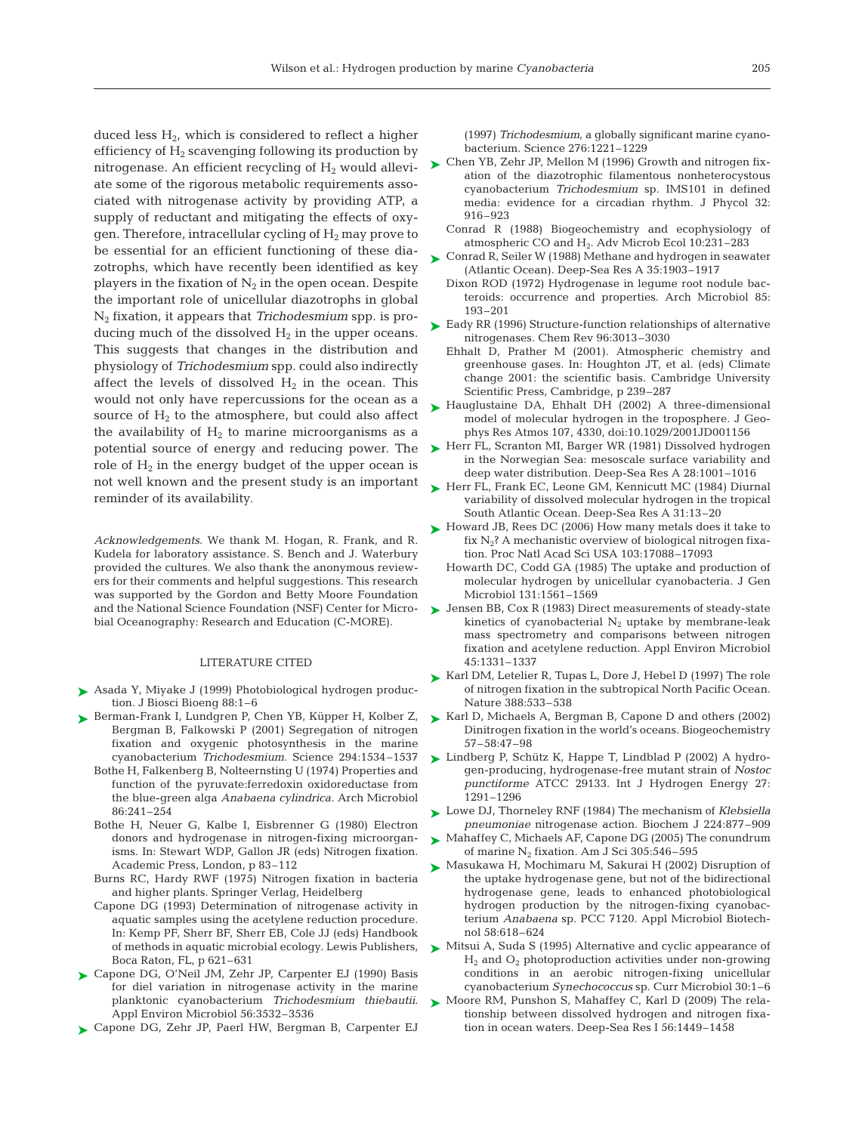duced less  $H_2$ , which is considered to reflect a higher efficiency of  $H_2$  scavenging following its production by nitrogenase. An efficient recycling of  $H<sub>2</sub>$  would alleviate some of the rigorous metabolic requirements associated with nitrogenase activity by providing ATP, a supply of reductant and mitigating the effects of oxygen. Therefore, intracellular cycling of  $H_2$  may prove to be essential for an efficient functioning of these diazotrophs, which have recently been identified as key players in the fixation of  $N_2$  in the open ocean. Despite the important role of unicellular diazotrophs in global N2 fixation, it appears that *Trichodesmium* spp. is producing much of the dissolved  $H_2$  in the upper oceans. This suggests that changes in the distribution and physiology of *Trichodesmium* spp. could also indirectly affect the levels of dissolved  $H_2$  in the ocean. This would not only have repercussions for the ocean as a source of  $H_2$  to the atmosphere, but could also affect the availability of  $H<sub>2</sub>$  to marine microorganisms as a potential source of energy and reducing power. The role of  $H_2$  in the energy budget of the upper ocean is not well known and the present study is an important reminder of its availability.

*Acknowledgements*. We thank M. Hogan, R. Frank, and R. Kudela for laboratory assistance. S. Bench and J. Waterbury provided the cultures. We also thank the anonymous reviewers for their comments and helpful suggestions. This research was supported by the Gordon and Betty Moore Foundation and the National Science Foundation (NSF) Center for Microbial Oceanography: Research and Education (C-MORE).

## LITERATURE CITED

- Asada Y, Miyake J (1999) Photobiological hydrogen produc-➤ tion. J Biosci Bioeng 88:1–6
- ▶ Berman-Frank I, Lundgren P, Chen YB, Küpper H, Kolber Z, Bergman B, Falkowski P (2001) Segregation of nitrogen fixation and oxygenic photosynthesis in the marine cyanobacterium *Trichodesmium.* Science 294:1534–1537
	- Bothe H, Falkenberg B, Nolteernsting U (1974) Properties and function of the pyruvate:ferredoxin oxidoreductase from the blue-green alga *Anabaena cylindrica.* Arch Microbiol 86:241–254
	- Bothe H, Neuer G, Kalbe I, Eisbrenner G (1980) Electron donors and hydrogenase in nitrogen-fixing microorganisms. In: Stewart WDP, Gallon JR (eds) Nitrogen fixation. Academic Press, London, p 83–112
	- Burns RC, Hardy RWF (1975) Nitrogen fixation in bacteria and higher plants. Springer Verlag, Heidelberg
	- Capone DG (1993) Determination of nitrogenase activity in aquatic samples using the acetylene reduction procedure. In: Kemp PF, Sherr BF, Sherr EB, Cole JJ (eds) Handbook of methods in aquatic microbial ecology. Lewis Publishers, Boca Raton, FL, p 621–631
- ► Capone DG, O'Neil JM, Zehr JP, Carpenter EJ (1990) Basis for diel variation in nitrogenase activity in the marine planktonic cyanobacterium *Trichodesmium thiebautii.* Appl Environ Microbiol 56:3532–3536
- Capone DG, Zehr JP, Paerl HW, Bergman B, Carpenter EJ ➤

(1997) *Trichodesmium*, a globally significant marine cyanobacterium. Science 276:1221–1229

- ► Chen YB, Zehr JP, Mellon M (1996) Growth and nitrogen fixation of the diazotrophic filamentous nonheterocystous cyanobacterium *Trichodesmium* sp. IMS101 in defined media: evidence for a circadian rhythm. J Phycol 32: 916–923
	- Conrad R (1988) Biogeochemistry and ecophysiology of atmospheric CO and H2. Adv Microb Ecol 10:231–283
- ► Conrad R, Seiler W (1988) Methane and hydrogen in seawater (Atlantic Ocean). Deep-Sea Res A 35:1903–1917
	- Dixon ROD (1972) Hydrogenase in legume root nodule bacteroids: occurrence and properties. Arch Microbiol 85: 193–201
- ► Eady RR (1996) Structure-function relationships of alternative nitrogenases. Chem Rev 96:3013–3030
	- Ehhalt D, Prather M (2001). Atmospheric chemistry and greenhouse gases. In: Houghton JT, et al. (eds) Climate change 2001: the scientific basis. Cambridge University Scientific Press, Cambridge, p 239–287
- ► Hauglustaine DA, Ehhalt DH (2002) A three-dimensional model of molecular hydrogen in the troposphere. J Geophys Res Atmos 107, 4330, doi:10.1029/2001JD001156
- ► Herr FL, Scranton MI, Barger WR (1981) Dissolved hydrogen in the Norwegian Sea: mesoscale surface variability and deep water distribution. Deep-Sea Res A 28:1001–1016
- ► Herr FL, Frank EC, Leone GM, Kennicutt MC (1984) Diurnal variability of dissolved molecular hydrogen in the tropical South Atlantic Ocean. Deep-Sea Res A 31:13–20
- ► Howard JB, Rees DC (2006) How many metals does it take to fix  $N_2$ ? A mechanistic overview of biological nitrogen fixation. Proc Natl Acad Sci USA 103:17088–17093
	- Howarth DC, Codd GA (1985) The uptake and production of molecular hydrogen by unicellular cyanobacteria. J Gen Microbiol 131:1561–1569
- Jensen BB, Cox R (1983) Direct measurements of steady-state ➤ kinetics of cyanobacterial  $N_2$  uptake by membrane-leak mass spectrometry and comparisons between nitrogen fixation and acetylene reduction. Appl Environ Microbiol 45:1331–1337
- ► Karl DM, Letelier R, Tupas L, Dore J, Hebel D (1997) The role of nitrogen fixation in the subtropical North Pacific Ocean. Nature 388:533–538
- ► Karl D, Michaels A, Bergman B, Capone D and others (2002) Dinitrogen fixation in the world's oceans. Biogeochemistry 57–58:47–98
- ► Lindberg P, Schütz K, Happe T, Lindblad P (2002) A hydrogen-producing, hydrogenase-free mutant strain of *Nostoc punctiforme* ATCC 29133. Int J Hydrogen Energy 27: 1291–1296
- ► Lowe DJ, Thorneley RNF (1984) The mechanism of *Klebsiella pneumoniae* nitrogenase action. Biochem J 224:877–909
- Mahaffey C, Michaels AF, Capone DG (2005) The conundrum of marine  $N_2$  fixation. Am J Sci 305:546-595 ➤
- ► Masukawa H, Mochimaru M, Sakurai H (2002) Disruption of the uptake hydrogenase gene, but not of the bidirectional hydrogenase gene, leads to enhanced photobiological hydrogen production by the nitrogen-fixing cyanobacterium *Anabaena* sp. PCC 7120. Appl Microbiol Biotechnol 58:618–624
- ► Mitsui A, Suda S (1995) Alternative and cyclic appearance of H2 and O2 photoproduction activities under non-growing conditions in an aerobic nitrogen-fixing unicellular cyanobacterium *Synechococcus* sp. Curr Microbiol 30:1–6
- ► Moore RM, Punshon S, Mahaffey C, Karl D (2009) The relationship between dissolved hydrogen and nitrogen fixation in ocean waters. Deep-Sea Res I 56:1449–1458